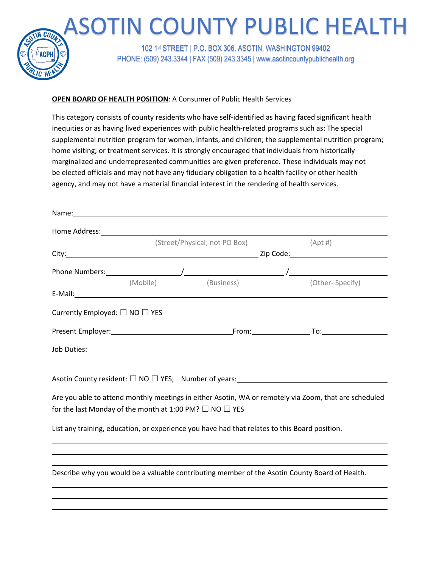

## **OPEN BOARD OF HEALTH POSITION**: A Consumer of Public Health Services

Name:

This category consists of county residents who have self-identified as having faced significant health inequities or as having lived experiences with public health-related programs such as: The special supplemental nutrition program for women, infants, and children; the supplemental nutrition program; home visiting; or treatment services. It is strongly encouraged that individuals from historically marginalized and underrepresented communities are given preference. These individuals may not be elected officials and may not have any fiduciary obligation to a health facility or other health agency, and may not have a material financial interest in the rendering of health services.

|                                                                   |  | (Street/Physical; not PO Box)                                                                                                                                                                                                        | $(Apt \#)$                                                                                            |
|-------------------------------------------------------------------|--|--------------------------------------------------------------------------------------------------------------------------------------------------------------------------------------------------------------------------------------|-------------------------------------------------------------------------------------------------------|
|                                                                   |  |                                                                                                                                                                                                                                      |                                                                                                       |
|                                                                   |  |                                                                                                                                                                                                                                      |                                                                                                       |
|                                                                   |  | (Mobile) (Business)                                                                                                                                                                                                                  | (Other-Specify)                                                                                       |
|                                                                   |  |                                                                                                                                                                                                                                      |                                                                                                       |
| Currently Employed: $\Box$ NO $\Box$ YES                          |  |                                                                                                                                                                                                                                      |                                                                                                       |
|                                                                   |  |                                                                                                                                                                                                                                      |                                                                                                       |
|                                                                   |  | Job Duties: <u>Andreas Andreas Andreas Andreas Andreas Andreas Andreas Andreas Andreas Andreas Andreas Andreas Andreas Andreas Andreas Andreas Andreas Andreas Andreas Andreas Andreas Andreas Andreas Andreas Andreas Andreas A</u> |                                                                                                       |
|                                                                   |  |                                                                                                                                                                                                                                      |                                                                                                       |
|                                                                   |  |                                                                                                                                                                                                                                      |                                                                                                       |
|                                                                   |  |                                                                                                                                                                                                                                      | Are you able to attend monthly meetings in either Asotin, WA or remotely via Zoom, that are scheduled |
| for the last Monday of the month at 1:00 PM? $\Box$ NO $\Box$ YES |  |                                                                                                                                                                                                                                      |                                                                                                       |
|                                                                   |  | List any training, education, or experience you have had that relates to this Board position.                                                                                                                                        |                                                                                                       |
|                                                                   |  |                                                                                                                                                                                                                                      |                                                                                                       |
|                                                                   |  |                                                                                                                                                                                                                                      |                                                                                                       |
|                                                                   |  | Describe why you would be a valuable contributing member of the Asotin County Board of Health.                                                                                                                                       |                                                                                                       |
|                                                                   |  |                                                                                                                                                                                                                                      |                                                                                                       |
|                                                                   |  |                                                                                                                                                                                                                                      |                                                                                                       |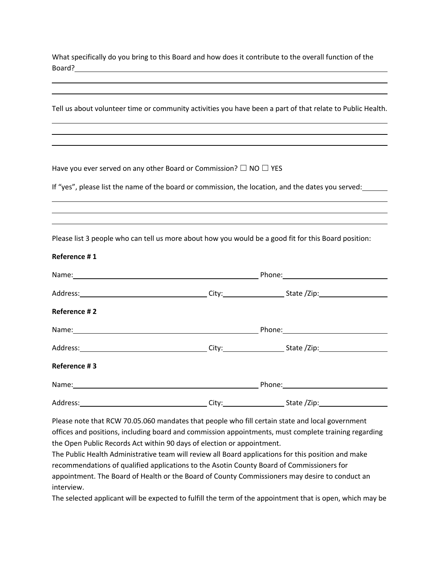What specifically do you bring to this Board and how does it contribute to the overall function of the Board?

|              |                                                                                                      | Tell us about volunteer time or community activities you have been a part of that relate to Public Health. |  |
|--------------|------------------------------------------------------------------------------------------------------|------------------------------------------------------------------------------------------------------------|--|
|              |                                                                                                      |                                                                                                            |  |
|              | Have you ever served on any other Board or Commission? $\Box$ NO $\Box$ YES                          |                                                                                                            |  |
|              |                                                                                                      | If "yes", please list the name of the board or commission, the location, and the dates you served:         |  |
|              |                                                                                                      |                                                                                                            |  |
|              | Please list 3 people who can tell us more about how you would be a good fit for this Board position: |                                                                                                            |  |
| Reference #1 |                                                                                                      |                                                                                                            |  |
|              |                                                                                                      |                                                                                                            |  |
|              |                                                                                                      |                                                                                                            |  |
| Reference #2 |                                                                                                      |                                                                                                            |  |
|              |                                                                                                      |                                                                                                            |  |
|              |                                                                                                      |                                                                                                            |  |
| Reference #3 |                                                                                                      |                                                                                                            |  |
|              |                                                                                                      |                                                                                                            |  |
|              |                                                                                                      |                                                                                                            |  |
|              |                                                                                                      |                                                                                                            |  |

Please note that RCW 70.05.060 mandates that people who fill certain state and local government offices and positions, including board and commission appointments, must complete training regarding the Open Public Records Act within 90 days of election or appointment.

The Public Health Administrative team will review all Board applications for this position and make recommendations of qualified applications to the Asotin County Board of Commissioners for appointment. The Board of Health or the Board of County Commissioners may desire to conduct an interview.

The selected applicant will be expected to fulfill the term of the appointment that is open, which may be